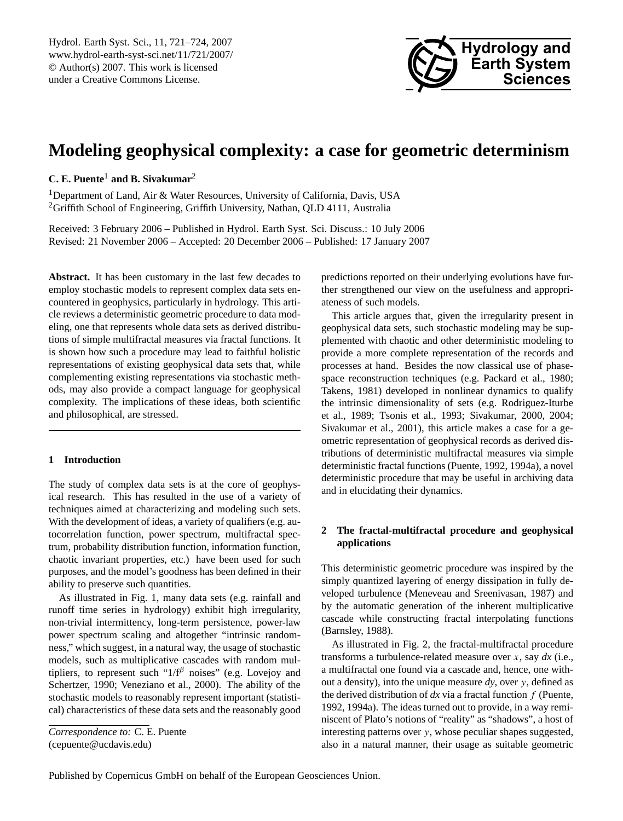

# <span id="page-0-0"></span>**Modeling geophysical complexity: a case for geometric determinism**

## **C. E. Puente**<sup>1</sup> **and B. Sivakumar**<sup>2</sup>

<sup>1</sup>Department of Land, Air & Water Resources, University of California, Davis, USA <sup>2</sup>Griffith School of Engineering, Griffith University, Nathan, QLD 4111, Australia

Received: 3 February 2006 – Published in Hydrol. Earth Syst. Sci. Discuss.: 10 July 2006 Revised: 21 November 2006 – Accepted: 20 December 2006 – Published: 17 January 2007

**Abstract.** It has been customary in the last few decades to employ stochastic models to represent complex data sets encountered in geophysics, particularly in hydrology. This article reviews a deterministic geometric procedure to data modeling, one that represents whole data sets as derived distributions of simple multifractal measures via fractal functions. It is shown how such a procedure may lead to faithful holistic representations of existing geophysical data sets that, while complementing existing representations via stochastic methods, may also provide a compact language for geophysical complexity. The implications of these ideas, both scientific and philosophical, are stressed.

## **1 Introduction**

The study of complex data sets is at the core of geophysical research. This has resulted in the use of a variety of techniques aimed at characterizing and modeling such sets. With the development of ideas, a variety of qualifiers (e.g. autocorrelation function, power spectrum, multifractal spectrum, probability distribution function, information function, chaotic invariant properties, etc.) have been used for such purposes, and the model's goodness has been defined in their ability to preserve such quantities.

As illustrated in Fig. 1, many data sets (e.g. rainfall and runoff time series in hydrology) exhibit high irregularity, non-trivial intermittency, long-term persistence, power-law power spectrum scaling and altogether "intrinsic randomness," which suggest, in a natural way, the usage of stochastic models, such as multiplicative cascades with random multipliers, to represent such " $1/f^{\beta}$  noises" (e.g. Lovejoy and Schertzer, 1990; Veneziano et al., 2000). The ability of the stochastic models to reasonably represent important (statistical) characteristics of these data sets and the reasonably good

*Correspondence to:* C. E. Puente (cepuente@ucdavis.edu)

predictions reported on their underlying evolutions have further strengthened our view on the usefulness and appropriateness of such models.

This article argues that, given the irregularity present in geophysical data sets, such stochastic modeling may be supplemented with chaotic and other deterministic modeling to provide a more complete representation of the records and processes at hand. Besides the now classical use of phasespace reconstruction techniques (e.g. Packard et al., 1980; Takens, 1981) developed in nonlinear dynamics to qualify the intrinsic dimensionality of sets (e.g. Rodriguez-Iturbe et al., 1989; Tsonis et al., 1993; Sivakumar, 2000, 2004; Sivakumar et al., 2001), this article makes a case for a geometric representation of geophysical records as derived distributions of deterministic multifractal measures via simple deterministic fractal functions (Puente, 1992, 1994a), a novel deterministic procedure that may be useful in archiving data and in elucidating their dynamics.

## **2 The fractal-multifractal procedure and geophysical applications**

This deterministic geometric procedure was inspired by the simply quantized layering of energy dissipation in fully developed turbulence (Meneveau and Sreenivasan, 1987) and by the automatic generation of the inherent multiplicative cascade while constructing fractal interpolating functions (Barnsley, 1988).

As illustrated in Fig. 2, the fractal-multifractal procedure transforms a turbulence-related measure over x, say *dx* (i.e., a multifractal one found via a cascade and, hence, one without a density), into the unique measure *dy*, over y, defined as the derived distribution of  $dx$  via a fractal function  $f$  (Puente, 1992, 1994a). The ideas turned out to provide, in a way reminiscent of Plato's notions of "reality" as "shadows", a host of interesting patterns over y, whose peculiar shapes suggested, also in a natural manner, their usage as suitable geometric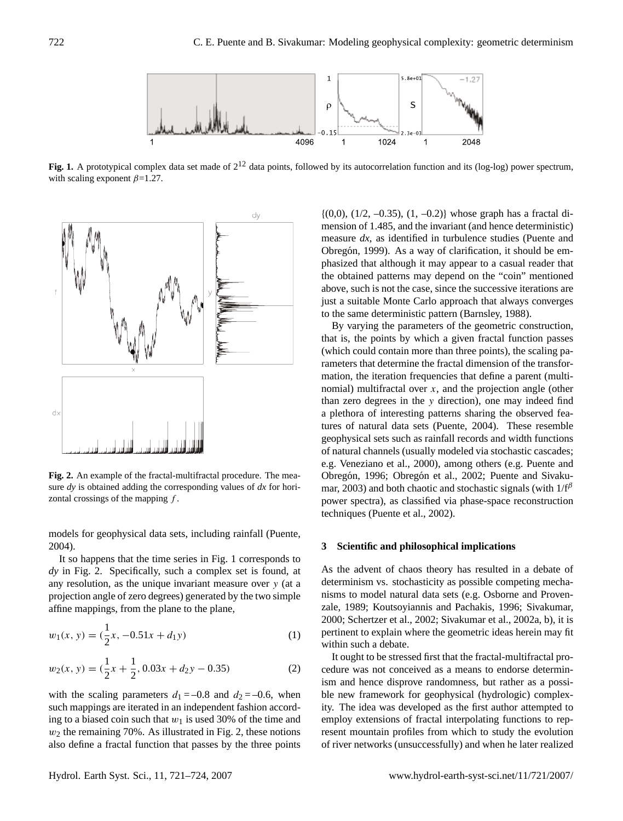

Fig. 1. A prototypical complex data set made of  $2^{12}$  data points, followed by its autocorrelation function and its (log-log) power spectrum, with scaling exponent  $\beta$ =1.27.



**Fig. 2.** An example of the fractal-multifractal procedure. The measure *dy* is obtained adding the corresponding values of *dx* for horizontal crossings of the mapping  $f$ .

models for geophysical data sets, including rainfall (Puente, 2004).

It so happens that the time series in Fig. 1 corresponds to *dy* in Fig. 2. Specifically, such a complex set is found, at any resolution, as the unique invariant measure over y (at a projection angle of zero degrees) generated by the two simple affine mappings, from the plane to the plane,

$$
w_1(x, y) = \left(\frac{1}{2}x, -0.51x + d_1y\right)
$$
 (1)

$$
w_2(x, y) = \left(\frac{1}{2}x + \frac{1}{2}, 0.03x + d_2y - 0.35\right)
$$
 (2)

with the scaling parameters  $d_1 = -0.8$  and  $d_2 = -0.6$ , when such mappings are iterated in an independent fashion according to a biased coin such that  $w_1$  is used 30% of the time and  $w_2$  the remaining 70%. As illustrated in Fig. 2, these notions also define a fractal function that passes by the three points

 ${(0,0), (1/2, -0.35), (1, -0.2)}$  whose graph has a fractal dimension of 1.485, and the invariant (and hence deterministic) measure *dx*, as identified in turbulence studies (Puente and Obregón, 1999). As a way of clarification, it should be emphasized that although it may appear to a casual reader that the obtained patterns may depend on the "coin" mentioned above, such is not the case, since the successive iterations are just a suitable Monte Carlo approach that always converges to the same deterministic pattern (Barnsley, 1988).

By varying the parameters of the geometric construction, that is, the points by which a given fractal function passes (which could contain more than three points), the scaling parameters that determine the fractal dimension of the transformation, the iteration frequencies that define a parent (multinomial) multifractal over  $x$ , and the projection angle (other than zero degrees in the y direction), one may indeed find a plethora of interesting patterns sharing the observed features of natural data sets (Puente, 2004). These resemble geophysical sets such as rainfall records and width functions of natural channels (usually modeled via stochastic cascades; e.g. Veneziano et al., 2000), among others (e.g. Puente and Obregón, 1996; Obregón et al., 2002; Puente and Sivakumar, 2003) and both chaotic and stochastic signals (with  $1/f^{\beta}$ power spectra), as classified via phase-space reconstruction techniques (Puente et al., 2002).

### **3 Scientific and philosophical implications**

As the advent of chaos theory has resulted in a debate of determinism vs. stochasticity as possible competing mechanisms to model natural data sets (e.g. Osborne and Provenzale, 1989; Koutsoyiannis and Pachakis, 1996; Sivakumar, 2000; Schertzer et al., 2002; Sivakumar et al., 2002a, b), it is pertinent to explain where the geometric ideas herein may fit within such a debate.

It ought to be stressed first that the fractal-multifractal procedure was not conceived as a means to endorse determinism and hence disprove randomness, but rather as a possible new framework for geophysical (hydrologic) complexity. The idea was developed as the first author attempted to employ extensions of fractal interpolating functions to represent mountain profiles from which to study the evolution of river networks (unsuccessfully) and when he later realized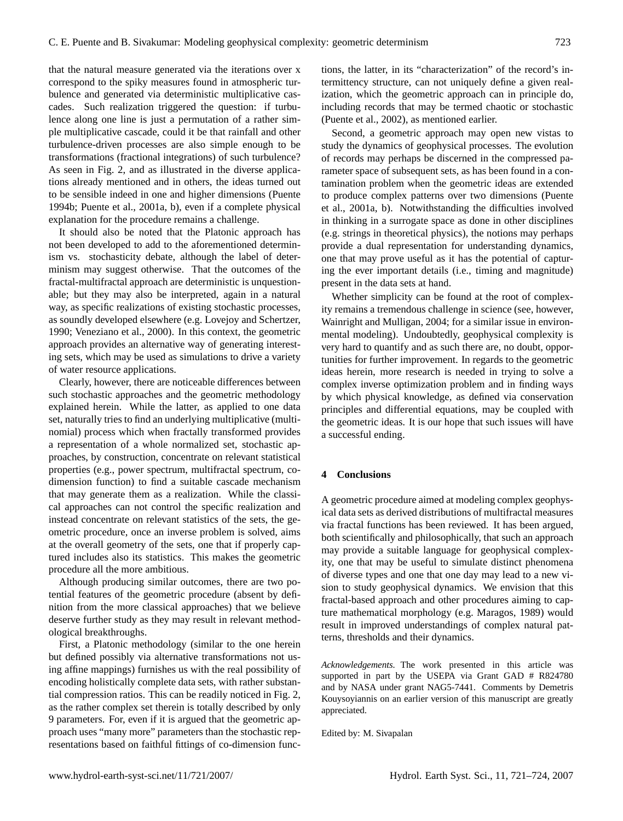that the natural measure generated via the iterations over x correspond to the spiky measures found in atmospheric turbulence and generated via deterministic multiplicative cascades. Such realization triggered the question: if turbulence along one line is just a permutation of a rather simple multiplicative cascade, could it be that rainfall and other turbulence-driven processes are also simple enough to be transformations (fractional integrations) of such turbulence? As seen in Fig. 2, and as illustrated in the diverse applications already mentioned and in others, the ideas turned out to be sensible indeed in one and higher dimensions (Puente 1994b; Puente et al., 2001a, b), even if a complete physical explanation for the procedure remains a challenge.

It should also be noted that the Platonic approach has not been developed to add to the aforementioned determinism vs. stochasticity debate, although the label of determinism may suggest otherwise. That the outcomes of the fractal-multifractal approach are deterministic is unquestionable; but they may also be interpreted, again in a natural way, as specific realizations of existing stochastic processes, as soundly developed elsewhere (e.g. Lovejoy and Schertzer, 1990; Veneziano et al., 2000). In this context, the geometric approach provides an alternative way of generating interesting sets, which may be used as simulations to drive a variety of water resource applications.

Clearly, however, there are noticeable differences between such stochastic approaches and the geometric methodology explained herein. While the latter, as applied to one data set, naturally tries to find an underlying multiplicative (multinomial) process which when fractally transformed provides a representation of a whole normalized set, stochastic approaches, by construction, concentrate on relevant statistical properties (e.g., power spectrum, multifractal spectrum, codimension function) to find a suitable cascade mechanism that may generate them as a realization. While the classical approaches can not control the specific realization and instead concentrate on relevant statistics of the sets, the geometric procedure, once an inverse problem is solved, aims at the overall geometry of the sets, one that if properly captured includes also its statistics. This makes the geometric procedure all the more ambitious.

Although producing similar outcomes, there are two potential features of the geometric procedure (absent by definition from the more classical approaches) that we believe deserve further study as they may result in relevant methodological breakthroughs.

First, a Platonic methodology (similar to the one herein but defined possibly via alternative transformations not using affine mappings) furnishes us with the real possibility of encoding holistically complete data sets, with rather substantial compression ratios. This can be readily noticed in Fig. 2, as the rather complex set therein is totally described by only 9 parameters. For, even if it is argued that the geometric approach uses "many more" parameters than the stochastic representations based on faithful fittings of co-dimension functions, the latter, in its "characterization" of the record's intermittency structure, can not uniquely define a given realization, which the geometric approach can in principle do, including records that may be termed chaotic or stochastic (Puente et al., 2002), as mentioned earlier.

Second, a geometric approach may open new vistas to study the dynamics of geophysical processes. The evolution of records may perhaps be discerned in the compressed parameter space of subsequent sets, as has been found in a contamination problem when the geometric ideas are extended to produce complex patterns over two dimensions (Puente et al., 2001a, b). Notwithstanding the difficulties involved in thinking in a surrogate space as done in other disciplines (e.g. strings in theoretical physics), the notions may perhaps provide a dual representation for understanding dynamics, one that may prove useful as it has the potential of capturing the ever important details (i.e., timing and magnitude) present in the data sets at hand.

Whether simplicity can be found at the root of complexity remains a tremendous challenge in science (see, however, Wainright and Mulligan, 2004; for a similar issue in environmental modeling). Undoubtedly, geophysical complexity is very hard to quantify and as such there are, no doubt, opportunities for further improvement. In regards to the geometric ideas herein, more research is needed in trying to solve a complex inverse optimization problem and in finding ways by which physical knowledge, as defined via conservation principles and differential equations, may be coupled with the geometric ideas. It is our hope that such issues will have a successful ending.

## **4 Conclusions**

A geometric procedure aimed at modeling complex geophysical data sets as derived distributions of multifractal measures via fractal functions has been reviewed. It has been argued, both scientifically and philosophically, that such an approach may provide a suitable language for geophysical complexity, one that may be useful to simulate distinct phenomena of diverse types and one that one day may lead to a new vision to study geophysical dynamics. We envision that this fractal-based approach and other procedures aiming to capture mathematical morphology (e.g. Maragos, 1989) would result in improved understandings of complex natural patterns, thresholds and their dynamics.

*Acknowledgements.* The work presented in this article was supported in part by the USEPA via Grant GAD # R824780 and by NASA under grant NAG5-7441. Comments by Demetris Kouysoyiannis on an earlier version of this manuscript are greatly appreciated.

Edited by: M. Sivapalan